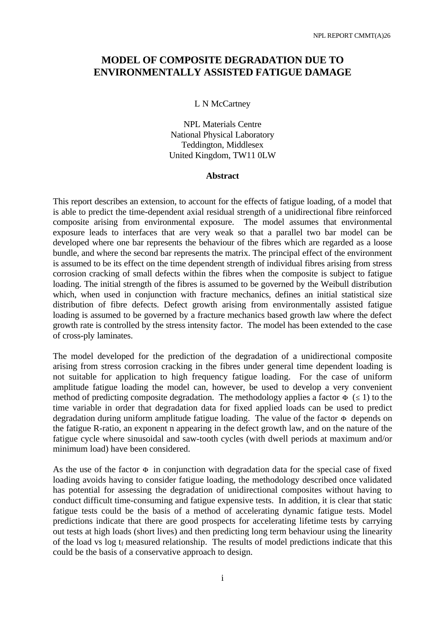# **MODEL OF COMPOSITE DEGRADATION DUE TO ENVIRONMENTALLY ASSISTED FATIGUE DAMAGE**

#### L N McCartney

NPL Materials Centre National Physical Laboratory Teddington, Middlesex United Kingdom, TW11 0LW

#### **Abstract**

This report describes an extension, to account for the effects of fatigue loading, of a model that is able to predict the time-dependent axial residual strength of a unidirectional fibre reinforced composite arising from environmental exposure. The model assumes that environmental exposure leads to interfaces that are very weak so that a parallel two bar model can be developed where one bar represents the behaviour of the fibres which are regarded as a loose bundle, and where the second bar represents the matrix. The principal effect of the environment is assumed to be its effect on the time dependent strength of individual fibres arising from stress corrosion cracking of small defects within the fibres when the composite is subject to fatigue loading. The initial strength of the fibres is assumed to be governed by the Weibull distribution which, when used in conjunction with fracture mechanics, defines an initial statistical size distribution of fibre defects. Defect growth arising from environmentally assisted fatigue loading is assumed to be governed by a fracture mechanics based growth law where the defect growth rate is controlled by the stress intensity factor. The model has been extended to the case of cross-ply laminates.

The model developed for the prediction of the degradation of a unidirectional composite arising from stress corrosion cracking in the fibres under general time dependent loading is not suitable for application to high frequency fatigue loading. For the case of uniform amplitude fatigue loading the model can, however, be used to develop a very convenient method of predicting composite degradation. The methodology applies a factor  $\Phi$  ( $\leq$  1) to the time variable in order that degradation data for fixed applied loads can be used to predict degradation during uniform amplitude fatigue loading. The value of the factor  $\Phi$  depends on the fatigue R-ratio, an exponent n appearing in the defect growth law, and on the nature of the fatigue cycle where sinusoidal and saw-tooth cycles (with dwell periods at maximum and/or minimum load) have been considered.

As the use of the factor  $\Phi$  in conjunction with degradation data for the special case of fixed loading avoids having to consider fatigue loading, the methodology described once validated has potential for assessing the degradation of unidirectional composites without having to conduct difficult time-consuming and fatigue expensive tests. In addition, it is clear that static fatigue tests could be the basis of a method of accelerating dynamic fatigue tests. Model predictions indicate that there are good prospects for accelerating lifetime tests by carrying out tests at high loads (short lives) and then predicting long term behaviour using the linearity of the load vs log  $t_f$  measured relationship. The results of model predictions indicate that this could be the basis of a conservative approach to design.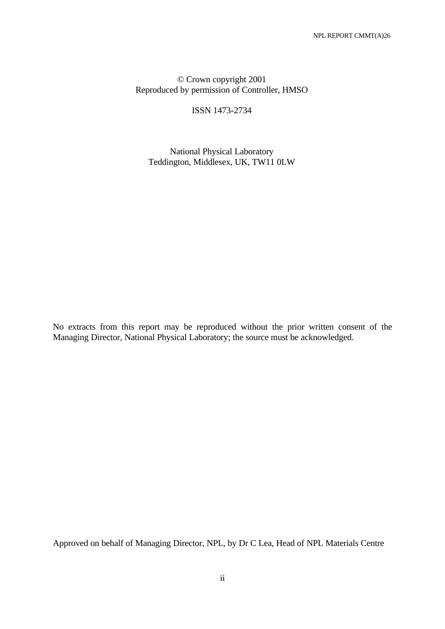# © Crown copyright 2001 Reproduced by permission of Controller, HMSO

ISSN 1473-2734

National Physical Laboratory Teddington, Middlesex, UK, TW11 0LW

No extracts from this report may be reproduced without the prior written consent of the Managing Director, National Physical Laboratory; the source must be acknowledged.

Approved on behalf of Managing Director, NPL, by Dr C Lea, Head of NPL Materials Centre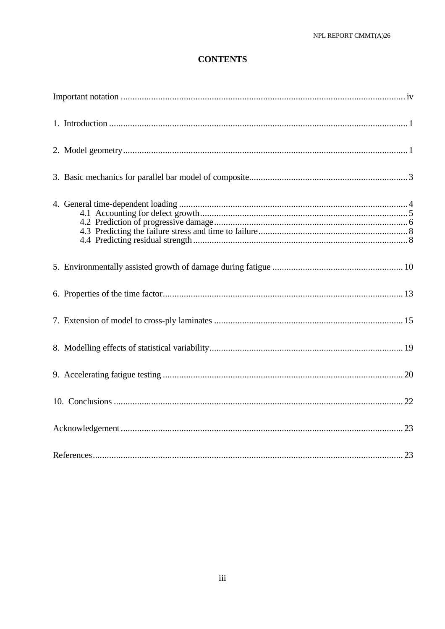# **CONTENTS**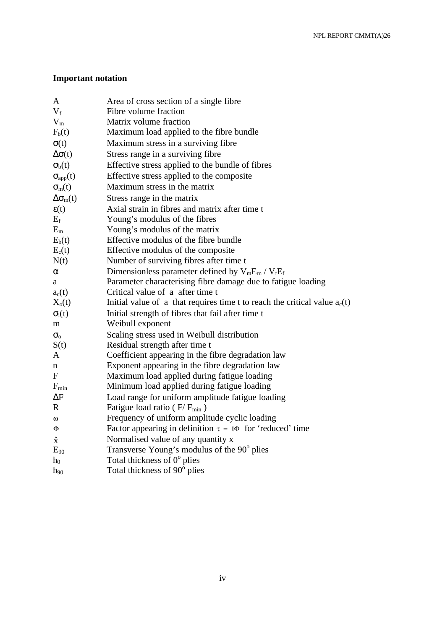# **Important notation**

| A                     | Area of cross section of a single fibre                                      |
|-----------------------|------------------------------------------------------------------------------|
| $V_f$                 | Fibre volume fraction                                                        |
| $V_m$                 | Matrix volume fraction                                                       |
| $F_b(t)$              | Maximum load applied to the fibre bundle                                     |
| $\sigma(t)$           | Maximum stress in a surviving fibre                                          |
| $\Delta \sigma(t)$    | Stress range in a surviving fibre                                            |
| $\sigma_{b}(t)$       | Effective stress applied to the bundle of fibres                             |
| $\sigma_{app}(t)$     | Effective stress applied to the composite                                    |
| $\sigma_{m}(t)$       | Maximum stress in the matrix                                                 |
| $\Delta\sigma_{m}(t)$ | Stress range in the matrix                                                   |
| $\epsilon(t)$         | Axial strain in fibres and matrix after time t                               |
| $E_f$                 | Young's modulus of the fibres                                                |
| $E_m$                 | Young's modulus of the matrix                                                |
| $E_b(t)$              | Effective modulus of the fibre bundle                                        |
| $E_c(t)$              | Effective modulus of the composite                                           |
| N(t)                  | Number of surviving fibres after time t                                      |
| α                     | Dimensionless parameter defined by $V_mE_m/V_fE_f$                           |
| a                     | Parameter characterising fibre damage due to fatigue loading                 |
| $a_c(t)$              | Critical value of a after time t                                             |
| $X_{o}(t)$            | Initial value of a that requires time t to reach the critical value $a_c(t)$ |
| $\sigma_i(t)$         | Initial strength of fibres that fail after time t                            |
| m                     | Weibull exponent                                                             |
| $\sigma_{\rm o}$      | Scaling stress used in Weibull distribution                                  |
| S(t)                  | Residual strength after time t                                               |
| A                     | Coefficient appearing in the fibre degradation law                           |
| n                     | Exponent appearing in the fibre degradation law                              |
| F                     | Maximum load applied during fatigue loading                                  |
| $F_{min}$             | Minimum load applied during fatigue loading                                  |
| $\Delta F$            | Load range for uniform amplitude fatigue loading                             |
| R                     | Fatigue load ratio (F/F <sub>min</sub> )                                     |
| $\omega$              | Frequency of uniform amplitude cyclic loading                                |
| Φ                     | Factor appearing in definition $\tau = \tau \Phi$ for 'reduced' time         |
| $\hat{\mathbf{x}}$    | Normalised value of any quantity x                                           |
| $E_{90}$              | Transverse Young's modulus of the 90 <sup>°</sup> plies                      |
| $h_0$                 | Total thickness of $0^{\circ}$ plies                                         |
| $h_{90}$              | Total thickness of 90° plies                                                 |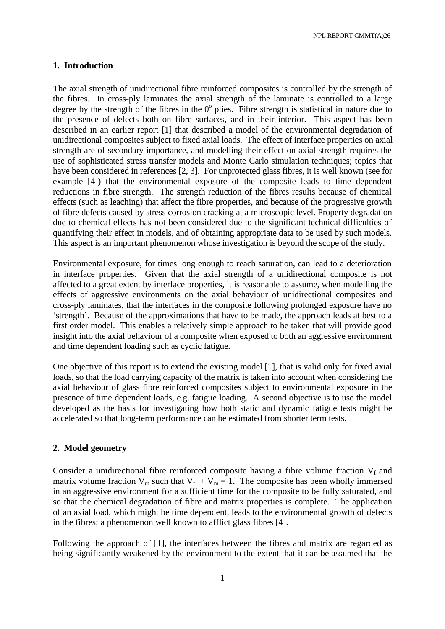### **1. Introduction**

The axial strength of unidirectional fibre reinforced composites is controlled by the strength of the fibres. In cross-ply laminates the axial strength of the laminate is controlled to a large degree by the strength of the fibres in the  $0^{\circ}$  plies. Fibre strength is statistical in nature due to the presence of defects both on fibre surfaces, and in their interior. This aspect has been described in an earlier report [1] that described a model of the environmental degradation of unidirectional composites subject to fixed axial loads. The effect of interface properties on axial strength are of secondary importance, and modelling their effect on axial strength requires the use of sophisticated stress transfer models and Monte Carlo simulation techniques; topics that have been considered in references [2, 3]. For unprotected glass fibres, it is well known (see for example [4]) that the environmental exposure of the composite leads to time dependent reductions in fibre strength. The strength reduction of the fibres results because of chemical effects (such as leaching) that affect the fibre properties, and because of the progressive growth of fibre defects caused by stress corrosion cracking at a microscopic level. Property degradation due to chemical effects has not been considered due to the significant technical difficulties of quantifying their effect in models, and of obtaining appropriate data to be used by such models. This aspect is an important phenomenon whose investigation is beyond the scope of the study.

Environmental exposure, for times long enough to reach saturation, can lead to a deterioration in interface properties. Given that the axial strength of a unidirectional composite is not affected to a great extent by interface properties, it is reasonable to assume, when modelling the effects of aggressive environments on the axial behaviour of unidirectional composites and cross-ply laminates, that the interfaces in the composite following prolonged exposure have no 'strength'. Because of the approximations that have to be made, the approach leads at best to a first order model. This enables a relatively simple approach to be taken that will provide good insight into the axial behaviour of a composite when exposed to both an aggressive environment and time dependent loading such as cyclic fatigue.

One objective of this report is to extend the existing model [1], that is valid only for fixed axial loads, so that the load carrying capacity of the matrix is taken into account when considering the axial behaviour of glass fibre reinforced composites subject to environmental exposure in the presence of time dependent loads, e.g. fatigue loading. A second objective is to use the model developed as the basis for investigating how both static and dynamic fatigue tests might be accelerated so that long-term performance can be estimated from shorter term tests.

# **2. Model geometry**

Consider a unidirectional fibre reinforced composite having a fibre volume fraction  $V_f$  and matrix volume fraction  $V_m$  such that  $V_f + V_m = 1$ . The composite has been wholly immersed in an aggressive environment for a sufficient time for the composite to be fully saturated, and so that the chemical degradation of fibre and matrix properties is complete. The application of an axial load, which might be time dependent, leads to the environmental growth of defects in the fibres; a phenomenon well known to afflict glass fibres [4].

Following the approach of [1], the interfaces between the fibres and matrix are regarded as being significantly weakened by the environment to the extent that it can be assumed that the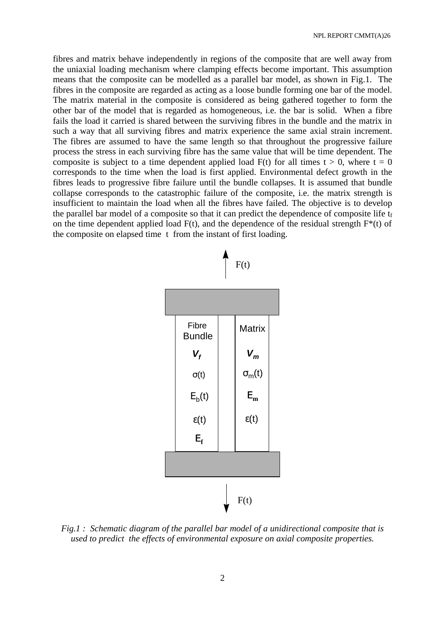fibres and matrix behave independently in regions of the composite that are well away from the uniaxial loading mechanism where clamping effects become important. This assumption means that the composite can be modelled as a parallel bar model, as shown in Fig.1. The fibres in the composite are regarded as acting as a loose bundle forming one bar of the model. The matrix material in the composite is considered as being gathered together to form the other bar of the model that is regarded as homogeneous, i.e. the bar is solid. When a fibre fails the load it carried is shared between the surviving fibres in the bundle and the matrix in such a way that all surviving fibres and matrix experience the same axial strain increment. The fibres are assumed to have the same length so that throughout the progressive failure process the stress in each surviving fibre has the same value that will be time dependent. The composite is subject to a time dependent applied load  $F(t)$  for all times  $t > 0$ , where  $t = 0$ corresponds to the time when the load is first applied. Environmental defect growth in the fibres leads to progressive fibre failure until the bundle collapses. It is assumed that bundle collapse corresponds to the catastrophic failure of the composite, i.e. the matrix strength is insufficient to maintain the load when all the fibres have failed. The objective is to develop the parallel bar model of a composite so that it can predict the dependence of composite life  $t_f$ on the time dependent applied load  $F(t)$ , and the dependence of the residual strength  $F^*(t)$  of the composite on elapsed time t from the instant of first loading.



*Fig.1 : Schematic diagram of the parallel bar model of a unidirectional composite that is used to predict the effects of environmental exposure on axial composite properties.*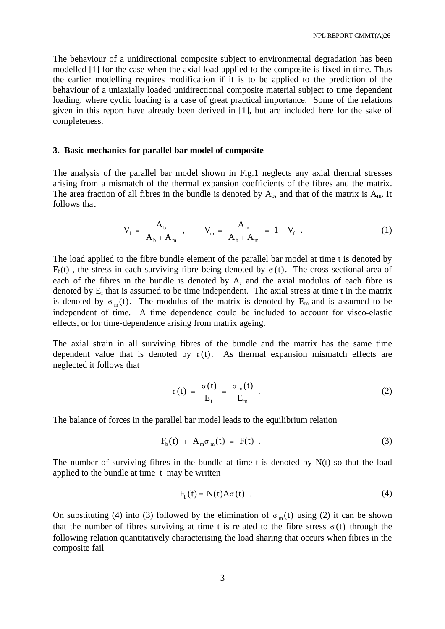The behaviour of a unidirectional composite subject to environmental degradation has been modelled [1] for the case when the axial load applied to the composite is fixed in time. Thus the earlier modelling requires modification if it is to be applied to the prediction of the behaviour of a uniaxially loaded unidirectional composite material subject to time dependent loading, where cyclic loading is a case of great practical importance. Some of the relations given in this report have already been derived in [1], but are included here for the sake of completeness.

#### **3. Basic mechanics for parallel bar model of composite**

The analysis of the parallel bar model shown in Fig.1 neglects any axial thermal stresses arising from a mismatch of the thermal expansion coefficients of the fibres and the matrix. The area fraction of all fibres in the bundle is denoted by  $A_b$ , and that of the matrix is  $A_m$ . It follows that

$$
V_{f} = \frac{A_{b}}{A_{b} + A_{m}} , \qquad V_{m} = \frac{A_{m}}{A_{b} + A_{m}} = 1 - V_{f} . \qquad (1)
$$

The load applied to the fibre bundle element of the parallel bar model at time t is denoted by  $F<sub>b</sub>(t)$ , the stress in each surviving fibre being denoted by  $\sigma(t)$ . The cross-sectional area of each of the fibres in the bundle is denoted by A, and the axial modulus of each fibre is denoted by  $E_f$  that is assumed to be time independent. The axial stress at time t in the matrix is denoted by  $\sigma_m(t)$ . The modulus of the matrix is denoted by  $E_m$  and is assumed to be independent of time. A time dependence could be included to account for visco-elastic effects, or for time-dependence arising from matrix ageing.

The axial strain in all surviving fibres of the bundle and the matrix has the same time dependent value that is denoted by  $\varepsilon(t)$ . As thermal expansion mismatch effects are neglected it follows that

$$
\varepsilon(t) = \frac{\sigma(t)}{E_f} = \frac{\sigma_m(t)}{E_m} \ . \tag{2}
$$

The balance of forces in the parallel bar model leads to the equilibrium relation

$$
F_{b}(t) + A_{m} \sigma_{m}(t) = F(t) . \qquad (3)
$$

The number of surviving fibres in the bundle at time t is denoted by  $N(t)$  so that the load applied to the bundle at time t may be written

$$
F_b(t) = N(t)A\sigma(t) . \qquad (4)
$$

On substituting (4) into (3) followed by the elimination of  $\sigma_m(t)$  using (2) it can be shown that the number of fibres surviving at time t is related to the fibre stress  $\sigma(t)$  through the following relation quantitatively characterising the load sharing that occurs when fibres in the composite fail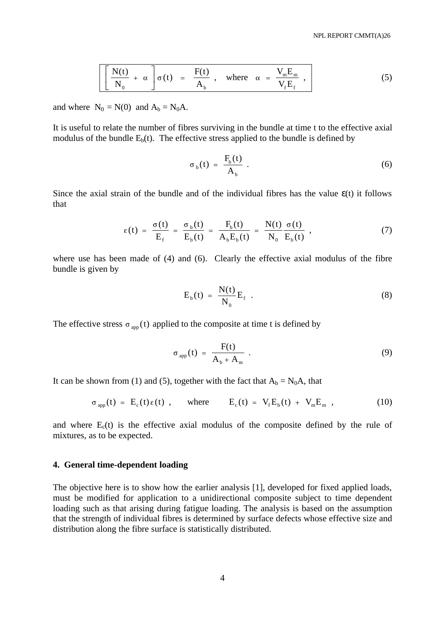$$
\left[\frac{N(t)}{N_0} + \alpha\right] \sigma(t) = \frac{F(t)}{A_b}, \text{ where } \alpha = \frac{V_m E_m}{V_f E_f}, \qquad (5)
$$

and where  $N_0 = N(0)$  and  $A_b = N_0A$ .

It is useful to relate the number of fibres surviving in the bundle at time t to the effective axial modulus of the bundle  $E<sub>b</sub>(t)$ . The effective stress applied to the bundle is defined by

$$
\sigma_{b}(t) = \frac{F_b(t)}{A_b} \tag{6}
$$

Since the axial strain of the bundle and of the individual fibres has the value  $\epsilon(t)$  it follows that

$$
\varepsilon(t) = \frac{\sigma(t)}{E_f} = \frac{\sigma_b(t)}{E_b(t)} = \frac{F_b(t)}{A_bE_b(t)} = \frac{N(t)}{N_0} \frac{\sigma(t)}{E_b(t)}, \qquad (7)
$$

where use has been made of (4) and (6). Clearly the effective axial modulus of the fibre bundle is given by

$$
E_b(t) = \frac{N(t)}{N_0} E_f . \qquad (8)
$$

The effective stress  $\sigma_{app}(t)$  applied to the composite at time t is defined by

$$
\sigma_{app}(t) = \frac{F(t)}{A_b + A_m} \tag{9}
$$

It can be shown from (1) and (5), together with the fact that  $A_b = N_0A$ , that

$$
\sigma_{app}(t) = E_c(t)\epsilon(t) , \quad \text{where} \quad E_c(t) = V_f E_b(t) + V_m E_m , \qquad (10)
$$

and where  $E_c(t)$  is the effective axial modulus of the composite defined by the rule of mixtures, as to be expected.

#### **4. General time-dependent loading**

The objective here is to show how the earlier analysis [1], developed for fixed applied loads, must be modified for application to a unidirectional composite subject to time dependent loading such as that arising during fatigue loading. The analysis is based on the assumption that the strength of individual fibres is determined by surface defects whose effective size and distribution along the fibre surface is statistically distributed.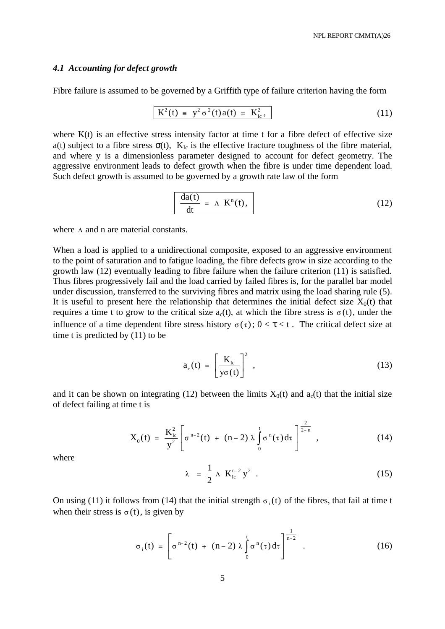#### *4.1 Accounting for defect growth*

Fibre failure is assumed to be governed by a Griffith type of failure criterion having the form

$$
K^{2}(t) = y^{2} \sigma^{2}(t) a(t) = K_{Ic}^{2}, \qquad (11)
$$

where  $K(t)$  is an effective stress intensity factor at time t for a fibre defect of effective size a(t) subject to a fibre stress  $\sigma(t)$ ,  $K_{Ic}$  is the effective fracture toughness of the fibre material, and where y is a dimensionless parameter designed to account for defect geometry. The aggressive environment leads to defect growth when the fibre is under time dependent load. Such defect growth is assumed to be governed by a growth rate law of the form

$$
\frac{da(t)}{dt} = \Lambda K^{n}(t), \qquad (12)
$$

where  $\Lambda$  and n are material constants.

When a load is applied to a unidirectional composite, exposed to an aggressive environment to the point of saturation and to fatigue loading, the fibre defects grow in size according to the growth law (12) eventually leading to fibre failure when the failure criterion (11) is satisfied. Thus fibres progressively fail and the load carried by failed fibres is, for the parallel bar model under discussion, transferred to the surviving fibres and matrix using the load sharing rule (5). It is useful to present here the relationship that determines the initial defect size  $X_0(t)$  that requires a time t to grow to the critical size  $a_c(t)$ , at which the fibre stress is  $\sigma(t)$ , under the influence of a time dependent fibre stress history  $\sigma(\tau)$ ;  $0 < \tau < t$ . The critical defect size at time t is predicted by (11) to be

$$
a_{c}(t) = \left[\frac{K_{lc}}{y\sigma(t)}\right]^{2}, \qquad (13)
$$

and it can be shown on integrating (12) between the limits  $X_0(t)$  and  $a_c(t)$  that the initial size of defect failing at time t is

$$
X_0(t) = \frac{K_{lc}^2}{y^2} \left[ \sigma^{n-2}(t) + (n-2) \lambda \int_0^t \sigma^n(\tau) d\tau \right]^{\frac{2}{2-n}}, \qquad (14)
$$

where

$$
\lambda = \frac{1}{2} \Lambda \, K_{\text{lc}}^{\text{n-2}} \, y^2 \quad . \tag{15}
$$

On using (11) it follows from (14) that the initial strength  $\sigma_i(t)$  of the fibres, that fail at time t when their stress is  $\sigma(t)$ , is given by

$$
\sigma_i(t) = \left[ \sigma^{n-2}(t) + (n-2) \lambda \int_0^t \sigma^n(\tau) d\tau \right]^{1 \over n-2} .
$$
 (16)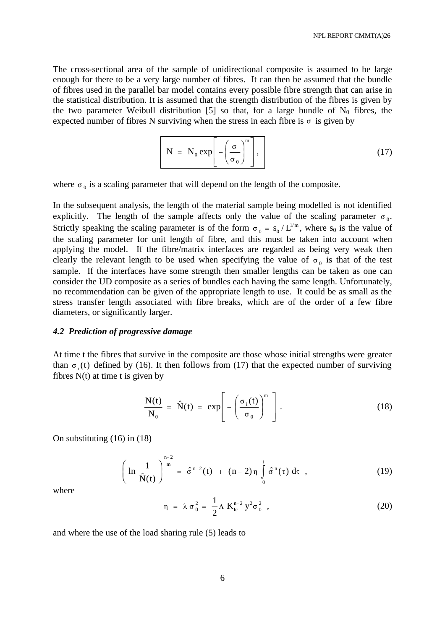The cross-sectional area of the sample of unidirectional composite is assumed to be large enough for there to be a very large number of fibres. It can then be assumed that the bundle of fibres used in the parallel bar model contains every possible fibre strength that can arise in the statistical distribution. It is assumed that the strength distribution of the fibres is given by the two parameter Weibull distribution [5] so that, for a large bundle of  $N_0$  fibres, the expected number of fibres N surviving when the stress in each fibre is  $\sigma$  is given by

$$
N = N_0 \exp\left[-\left(\frac{\sigma}{\sigma_0}\right)^m\right],
$$
 (17)

where  $\sigma_0$  is a scaling parameter that will depend on the length of the composite.

In the subsequent analysis, the length of the material sample being modelled is not identified explicitly. The length of the sample affects only the value of the scaling parameter  $\sigma_0$ . Strictly speaking the scaling parameter is of the form  $\sigma_0 = s_0/L^{1/m}$ , where  $s_0$  is the value of the scaling parameter for unit length of fibre, and this must be taken into account when applying the model. If the fibre/matrix interfaces are regarded as being very weak then clearly the relevant length to be used when specifying the value of  $\sigma_0$  is that of the test sample. If the interfaces have some strength then smaller lengths can be taken as one can consider the UD composite as a series of bundles each having the same length. Unfortunately, no recommendation can be given of the appropriate length to use. It could be as small as the stress transfer length associated with fibre breaks, which are of the order of a few fibre diameters, or significantly larger.

## *4.2 Prediction of progressive damage*

At time t the fibres that survive in the composite are those whose initial strengths were greater than  $\sigma_i(t)$  defined by (16). It then follows from (17) that the expected number of surviving fibres  $N(t)$  at time t is given by

$$
\frac{N(t)}{N_0} = \hat{N}(t) = \exp\left[-\left(\frac{\sigma_i(t)}{\sigma_0}\right)^m\right].
$$
\n(18)

On substituting (16) in (18)

$$
\left(\ln\frac{1}{\hat{N}(t)}\right)^{\frac{n-2}{m}} = \hat{\sigma}^{n-2}(t) + (n-2)\eta \int_{0}^{t} \hat{\sigma}^{n}(\tau) d\tau , \qquad (19)
$$

where

$$
\eta = \lambda \sigma_0^2 = \frac{1}{2} \Lambda K_{\text{lc}}^{n-2} y^2 \sigma_0^2 , \qquad (20)
$$

and where the use of the load sharing rule (5) leads to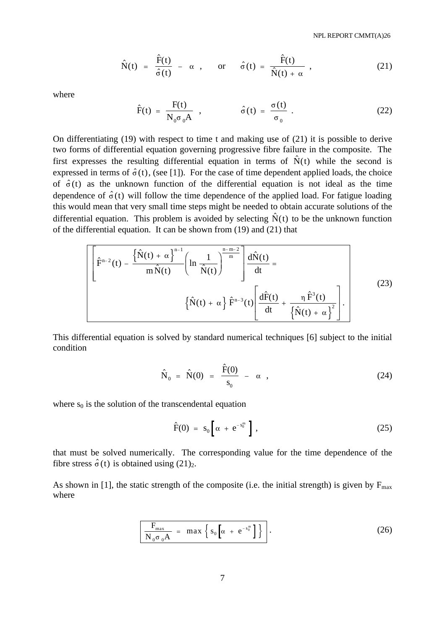$$
\hat{N}(t) = \frac{\hat{F}(t)}{\hat{\sigma}(t)} - \alpha , \quad \text{or} \quad \hat{\sigma}(t) = \frac{\hat{F}(t)}{\hat{N}(t) + \alpha} , \qquad (21)
$$

where

$$
\hat{F}(t) = \frac{F(t)}{N_0 \sigma_0 A} , \qquad \hat{\sigma}(t) = \frac{\sigma(t)}{\sigma_0} .
$$
 (22)

On differentiating (19) with respect to time t and making use of (21) it is possible to derive two forms of differential equation governing progressive fibre failure in the composite. The first expresses the resulting differential equation in terms of  $\hat{N}(t)$  while the second is expressed in terms of  $\hat{\sigma}(t)$ , (see [1]). For the case of time dependent applied loads, the choice of  $\hat{\sigma}(t)$  as the unknown function of the differential equation is not ideal as the time dependence of  $\hat{\sigma}(t)$  will follow the time dependence of the applied load. For fatigue loading this would mean that very small time steps might be needed to obtain accurate solutions of the differential equation. This problem is avoided by selecting  $\hat{N}(t)$  to be the unknown function of the differential equation. It can be shown from (19) and (21) that

$$
\left[\hat{F}^{n-2}(t) - \frac{\left\{\hat{N}(t) + \alpha\right\}^{n-1}}{m\hat{N}(t)} \left(\ln \frac{1}{\hat{N}(t)}\right)^{\frac{n-m-2}{m}}\right] \frac{d\hat{N}(t)}{dt} = \left\{\hat{N}(t) + \alpha\right\} \hat{F}^{n-3}(t) \left[\frac{d\hat{F}(t)}{dt} + \frac{\eta \hat{F}^{3}(t)}{\left\{\hat{N}(t) + \alpha\right\}^{2}}\right].
$$
\n(23)

This differential equation is solved by standard numerical techniques [6] subject to the initial condition

$$
\hat{\mathbf{N}}_0 = \hat{\mathbf{N}}(0) = \frac{\hat{\mathbf{F}}(0)}{\mathbf{s}_0} - \alpha , \qquad (24)
$$

where  $s_0$  is the solution of the transcendental equation

$$
\hat{F}(0) = s_0 \left[ \alpha + e^{-s_0^m} \right], \qquad (25)
$$

that must be solved numerically. The corresponding value for the time dependence of the fibre stress  $\hat{\sigma}(t)$  is obtained using (21)<sub>2</sub>.

As shown in [1], the static strength of the composite (i.e. the initial strength) is given by  $F_{\text{max}}$ where

$$
\frac{F_{\max}}{N_0 \sigma_0 A} = \max \left\{ s_0 \left[ \alpha + e^{-s_0^m} \right] \right\} . \tag{26}
$$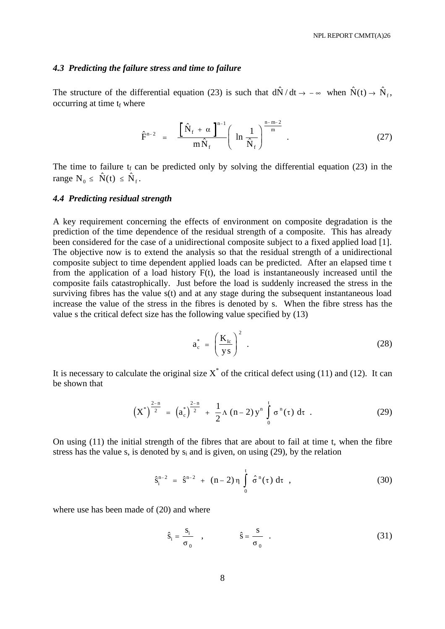### *4.3 Predicting the failure stress and time to failure*

The structure of the differential equation (23) is such that  $d\hat{N}/dt \to -\infty$  when  $\hat{N}(t) \to \hat{N}_f$ , occurring at time  $t_f$  where

$$
\hat{F}^{n-2} = \frac{\left[\hat{N}_f + \alpha\right]^{n-1}}{m\hat{N}_f} \left(\ln\frac{1}{\hat{N}_f}\right)^{\frac{n-m-2}{m}}.
$$
\n(27)

The time to failure  $t_f$  can be predicted only by solving the differential equation (23) in the range  $N_0 \leq \hat{N}(t) \leq \hat{N}_f$ .

### *4.4 Predicting residual strength*

A key requirement concerning the effects of environment on composite degradation is the prediction of the time dependence of the residual strength of a composite. This has already been considered for the case of a unidirectional composite subject to a fixed applied load [1]. The objective now is to extend the analysis so that the residual strength of a unidirectional composite subject to time dependent applied loads can be predicted. After an elapsed time t from the application of a load history F(t), the load is instantaneously increased until the composite fails catastrophically. Just before the load is suddenly increased the stress in the surviving fibres has the value s(t) and at any stage during the subsequent instantaneous load increase the value of the stress in the fibres is denoted by s. When the fibre stress has the value s the critical defect size has the following value specified by (13)

$$
a_c^* = \left(\frac{K_{lc}}{ys}\right)^2 \tag{28}
$$

It is necessary to calculate the original size  $X^*$  of the critical defect using (11) and (12). It can be shown that

$$
\left(X^*\right)^{\frac{2-n}{2}} = \left(a_c^*\right)^{\frac{2-n}{2}} + \frac{1}{2}\Lambda\left(n-2\right)y^n \int_0^t \sigma^n(\tau) d\tau . \tag{29}
$$

On using (11) the initial strength of the fibres that are about to fail at time t, when the fibre stress has the value s, is denoted by  $s_i$  and is given, on using (29), by the relation

$$
\hat{s}_i^{n-2} = \hat{s}^{n-2} + (n-2)\eta \int_0^t \hat{\sigma}^n(\tau) d\tau , \qquad (30)
$$

where use has been made of  $(20)$  and where

$$
\hat{\mathbf{s}}_i = \frac{\mathbf{s}_i}{\sigma_0} \quad , \qquad \hat{\mathbf{s}} = \frac{\mathbf{s}}{\sigma_0} \quad . \tag{31}
$$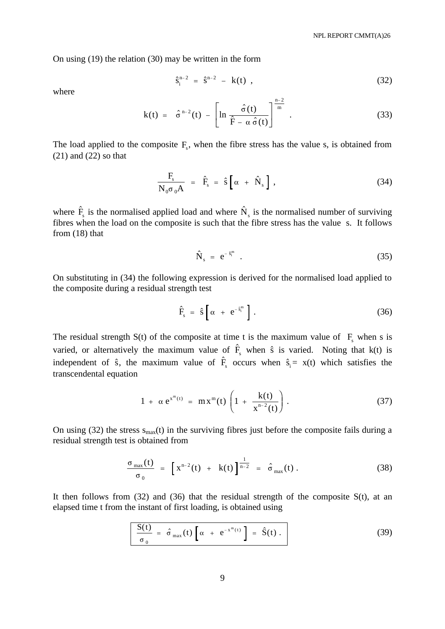On using (19) the relation (30) may be written in the form

$$
\hat{S}_i^{n-2} = \hat{S}^{n-2} - k(t) , \qquad (32)
$$

where

$$
k(t) = \hat{\sigma}^{n-2}(t) - \left[\ln \frac{\hat{\sigma}(t)}{\hat{F} - \alpha \hat{\sigma}(t)}\right]^{\frac{n-2}{m}}.
$$
 (33)

The load applied to the composite  $F_s$ , when the fibre stress has the value s, is obtained from (21) and (22) so that

$$
\frac{\mathbf{F}_{\rm s}}{\mathbf{N}_0 \sigma_0 \mathbf{A}} = \hat{\mathbf{F}}_{\rm s} = \hat{\mathbf{s}} \left[ \alpha + \hat{\mathbf{N}}_{\rm s} \right], \qquad (34)
$$

where  $\hat{F}_s$  is the normalised applied load and where  $\hat{N}_s$  is the normalised number of surviving fibres when the load on the composite is such that the fibre stress has the value s. It follows from (18) that

$$
\hat{\mathbf{N}}_{\mathrm{s}} = \mathbf{e}^{-\hat{\mathbf{s}}_{\mathrm{i}}^{\mathrm{m}}} \tag{35}
$$

On substituting in (34) the following expression is derived for the normalised load applied to the composite during a residual strength test

$$
\hat{F}_s = \hat{s} \left[ \alpha + e^{-\hat{s}_i^m} \right]. \tag{36}
$$

The residual strength  $S(t)$  of the composite at time t is the maximum value of  $F_s$  when s is varied, or alternatively the maximum value of  $\hat{F}_s$  when  $\hat{s}$  is varied. Noting that k(t) is independent of  $\hat{s}$ , the maximum value of  $\hat{F}_s$  occurs when  $\hat{s}_i = x(t)$  which satisfies the transcendental equation

$$
1 + \alpha e^{x^{m}(t)} = mx^{m}(t) \left( 1 + \frac{k(t)}{x^{n-2}(t)} \right).
$$
 (37)

On using (32) the stress  $s_{max}(t)$  in the surviving fibres just before the composite fails during a residual strength test is obtained from

$$
\frac{\sigma_{\max}(t)}{\sigma_0} = \left[ x^{n-2}(t) + k(t) \right]^{\frac{1}{n-2}} = \hat{\sigma}_{\max}(t) . \tag{38}
$$

It then follows from  $(32)$  and  $(36)$  that the residual strength of the composite  $S(t)$ , at an elapsed time t from the instant of first loading, is obtained using

$$
\frac{S(t)}{\sigma_0} = \hat{\sigma}_{max}(t) \left[ \alpha + e^{-x^m(t)} \right] = \hat{S}(t) . \qquad (39)
$$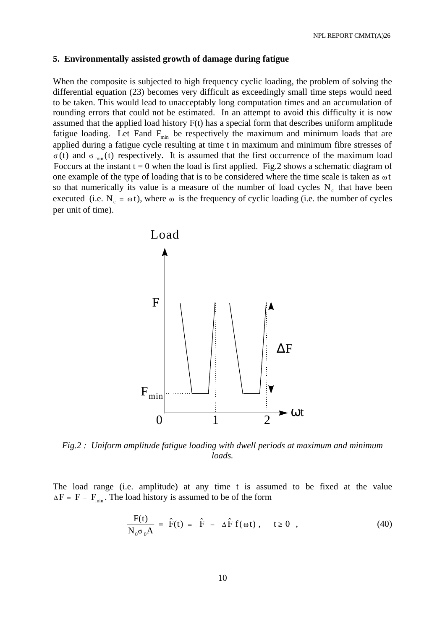#### **5. Environmentally assisted growth of damage during fatigue**

When the composite is subjected to high frequency cyclic loading, the problem of solving the differential equation (23) becomes very difficult as exceedingly small time steps would need to be taken. This would lead to unacceptably long computation times and an accumulation of rounding errors that could not be estimated. In an attempt to avoid this difficulty it is now assumed that the applied load history F(t) has a special form that describes uniform amplitude fatigue loading. Let Fand  $F_{min}$  be respectively the maximum and minimum loads that are applied during a fatigue cycle resulting at time t in maximum and minimum fibre stresses of  $\sigma(t)$  and  $\sigma_{min}(t)$  respectively. It is assumed that the first occurrence of the maximum load Foccurs at the instant  $t = 0$  when the load is first applied. Fig.2 shows a schematic diagram of one example of the type of loading that is to be considered where the time scale is taken as  $\omega t$ so that numerically its value is a measure of the number of load cycles  $N_c$  that have been executed (i.e. N<sub>c</sub> =  $\omega$ ), where  $\omega$  is the frequency of cyclic loading (i.e. the number of cycles per unit of time).



*Fig.2 : Uniform amplitude fatigue loading with dwell periods at maximum and minimum loads.*

The load range (i.e. amplitude) at any time t is assumed to be fixed at the value  $\Delta F = F - F_{\text{min}}$ . The load history is assumed to be of the form

$$
\frac{F(t)}{N_0 \sigma_0 A} = \hat{F}(t) = \hat{F} - \Delta \hat{F} f(\omega t), \quad t \ge 0 , \qquad (40)
$$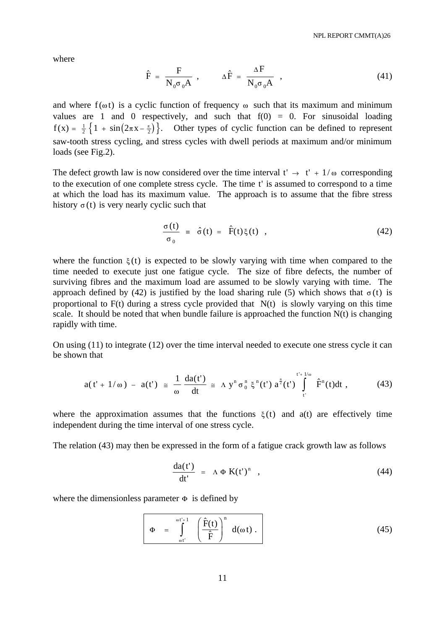where

$$
\hat{F} = \frac{F}{N_0 \sigma_0 A} , \qquad \Delta \hat{F} = \frac{\Delta F}{N_0 \sigma_0 A} , \qquad (41)
$$

and where  $f(\omega t)$  is a cyclic function of frequency  $\omega$  such that its maximum and minimum values are 1 and 0 respectively, and such that  $f(0) = 0$ . For sinusoidal loading  $f(x) = \frac{1}{2} \{ 1 + \sin(2\pi x - \frac{\pi}{2})\}$  $\left\{1 + \sin(2\pi x - \frac{\pi}{2})\right\}$ . Other types of cyclic function can be defined to represent saw-tooth stress cycling, and stress cycles with dwell periods at maximum and/or minimum loads (see Fig.2).

The defect growth law is now considered over the time interval  $t' \rightarrow t' + 1/\omega$  corresponding to the execution of one complete stress cycle. The time t' is assumed to correspond to a time at which the load has its maximum value. The approach is to assume that the fibre stress history  $\sigma(t)$  is very nearly cyclic such that

$$
\frac{\sigma(t)}{\sigma_0} = \hat{\sigma}(t) = \hat{F}(t)\xi(t) , \qquad (42)
$$

where the function  $\xi(t)$  is expected to be slowly varying with time when compared to the time needed to execute just one fatigue cycle. The size of fibre defects, the number of surviving fibres and the maximum load are assumed to be slowly varying with time. The approach defined by (42) is justified by the load sharing rule (5) which shows that  $\sigma(t)$  is proportional to  $F(t)$  during a stress cycle provided that  $N(t)$  is slowly varying on this time scale. It should be noted that when bundle failure is approached the function  $N(t)$  is changing rapidly with time.

On using (11) to integrate (12) over the time interval needed to execute one stress cycle it can be shown that

$$
a(t'+1/\omega) - a(t') \geq \frac{1}{\omega} \frac{da(t')}{dt} \geq \Lambda y^{n} \sigma_{0}^{n} \xi^{n}(t') a^{\frac{n}{2}}(t') \int_{t'}^{t'+1/\omega} \hat{F}^{n}(t)dt , \qquad (43)
$$

where the approximation assumes that the functions  $\xi(t)$  and  $a(t)$  are effectively time independent during the time interval of one stress cycle.

The relation (43) may then be expressed in the form of a fatigue crack growth law as follows

$$
\frac{da(t')}{dt'} = \Lambda \Phi K(t')^n , \qquad (44)
$$

where the dimensionless parameter  $\Phi$  is defined by

$$
\Phi = \int_{\omega t'}^{\omega t'+1} \left( \frac{\hat{F}(t)}{\hat{F}} \right)^n d(\omega t).
$$
 (45)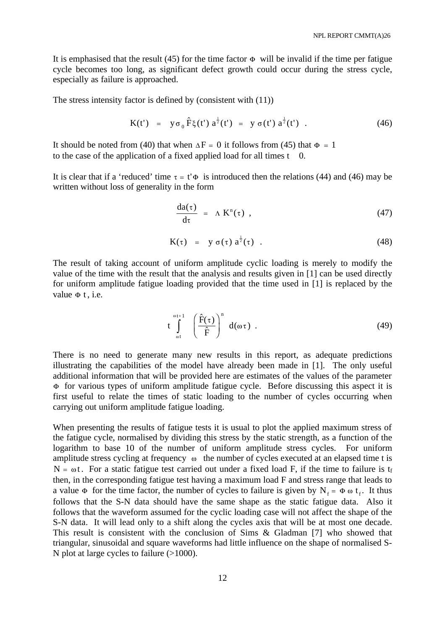It is emphasised that the result (45) for the time factor  $\Phi$  will be invalid if the time per fatigue cycle becomes too long, as significant defect growth could occur during the stress cycle, especially as failure is approached.

The stress intensity factor is defined by (consistent with (11))

$$
K(t') = y \sigma_0 \hat{F} \xi(t') a^{\frac{1}{2}}(t') = y \sigma(t') a^{\frac{1}{2}}(t') . \qquad (46)
$$

It should be noted from (40) that when  $\Delta F = 0$  it follows from (45) that  $\Phi = 1$ to the case of the application of a fixed applied load for all times t 0.

It is clear that if a 'reduced' time  $\tau = t' \Phi$  is introduced then the relations (44) and (46) may be written without loss of generality in the form

$$
\frac{da(\tau)}{d\tau} = \Lambda K^{n}(\tau) , \qquad (47)
$$

$$
K(\tau) = y \sigma(\tau) a^{\frac{1}{2}}(\tau) . \qquad (48)
$$

The result of taking account of uniform amplitude cyclic loading is merely to modify the value of the time with the result that the analysis and results given in [1] can be used directly for uniform amplitude fatigue loading provided that the time used in [1] is replaced by the value  $\Phi$  t, i.e.

$$
t \int_{\omega t}^{\omega t+1} \left( \frac{\hat{F}(\tau)}{\hat{F}} \right)^n d(\omega \tau) . \tag{49}
$$

There is no need to generate many new results in this report, as adequate predictions illustrating the capabilities of the model have already been made in [1]. The only useful additional information that will be provided here are estimates of the values of the parameter  $\Phi$  for various types of uniform amplitude fatigue cycle. Before discussing this aspect it is first useful to relate the times of static loading to the number of cycles occurring when carrying out uniform amplitude fatigue loading.

When presenting the results of fatigue tests it is usual to plot the applied maximum stress of the fatigue cycle, normalised by dividing this stress by the static strength, as a function of the logarithm to base 10 of the number of uniform amplitude stress cycles. For uniform amplitude stress cycling at frequency  $\omega$  the number of cycles executed at an elapsed time t is  $N = \omega t$ . For a static fatigue test carried out under a fixed load F, if the time to failure is t<sub>f</sub> then, in the corresponding fatigue test having a maximum load F and stress range that leads to a value  $\Phi$  for the time factor, the number of cycles to failure is given by  $N_f = \Phi \omega t_f$ . It thus follows that the S-N data should have the same shape as the static fatigue data. Also it follows that the waveform assumed for the cyclic loading case will not affect the shape of the S-N data. It will lead only to a shift along the cycles axis that will be at most one decade. This result is consistent with the conclusion of Sims & Gladman [7] who showed that triangular, sinusoidal and square waveforms had little influence on the shape of normalised S-N plot at large cycles to failure (>1000).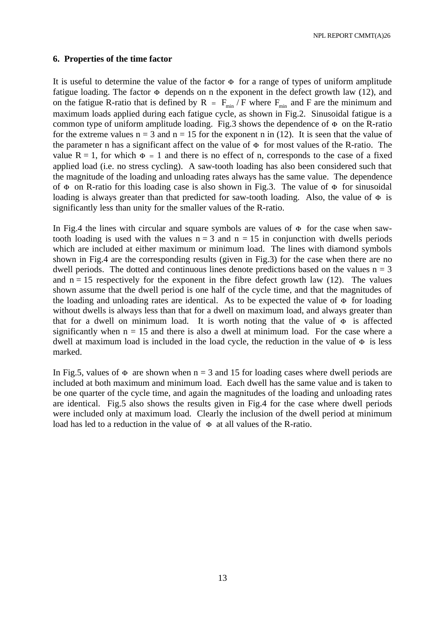NPL REPORT CMMT(A)26

### **6. Properties of the time factor**

It is useful to determine the value of the factor  $\Phi$  for a range of types of uniform amplitude fatigue loading. The factor  $\Phi$  depends on n the exponent in the defect growth law (12), and on the fatigue R-ratio that is defined by R =  $F_{min}/F$  where  $F_{min}$  and F are the minimum and maximum loads applied during each fatigue cycle, as shown in Fig.2. Sinusoidal fatigue is a common type of uniform amplitude loading. Fig.3 shows the dependence of  $\Phi$  on the R-ratio for the extreme values  $n = 3$  and  $n = 15$  for the exponent n in (12). It is seen that the value of the parameter n has a significant affect on the value of  $\Phi$  for most values of the R-ratio. The value  $R = 1$ , for which  $\Phi = 1$  and there is no effect of n, corresponds to the case of a fixed applied load (i.e. no stress cycling). A saw-tooth loading has also been considered such that the magnitude of the loading and unloading rates always has the same value. The dependence of  $\Phi$  on R-ratio for this loading case is also shown in Fig.3. The value of  $\Phi$  for sinusoidal loading is always greater than that predicted for saw-tooth loading. Also, the value of  $\Phi$  is significantly less than unity for the smaller values of the R-ratio.

In Fig.4 the lines with circular and square symbols are values of  $\Phi$  for the case when sawtooth loading is used with the values  $n = 3$  and  $n = 15$  in conjunction with dwells periods which are included at either maximum or minimum load. The lines with diamond symbols shown in Fig.4 are the corresponding results (given in Fig.3) for the case when there are no dwell periods. The dotted and continuous lines denote predictions based on the values  $n = 3$ and  $n = 15$  respectively for the exponent in the fibre defect growth law (12). The values shown assume that the dwell period is one half of the cycle time, and that the magnitudes of the loading and unloading rates are identical. As to be expected the value of  $\Phi$  for loading without dwells is always less than that for a dwell on maximum load, and always greater than that for a dwell on minimum load. It is worth noting that the value of  $\Phi$  is affected significantly when  $n = 15$  and there is also a dwell at minimum load. For the case where a dwell at maximum load is included in the load cycle, the reduction in the value of  $\Phi$  is less marked.

In Fig.5, values of  $\Phi$  are shown when  $n = 3$  and 15 for loading cases where dwell periods are included at both maximum and minimum load. Each dwell has the same value and is taken to be one quarter of the cycle time, and again the magnitudes of the loading and unloading rates are identical. Fig.5 also shows the results given in Fig.4 for the case where dwell periods were included only at maximum load. Clearly the inclusion of the dwell period at minimum load has led to a reduction in the value of  $\Phi$  at all values of the R-ratio.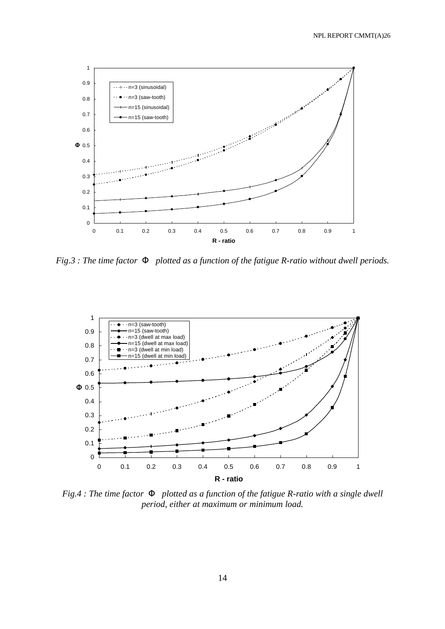

*Fig.3 : The time factor F plotted as a function of the fatigue R-ratio without dwell periods.*



*Fig.4 : The time factor F plotted as a function of the fatigue R-ratio with a single dwell period, either at maximum or minimum load.*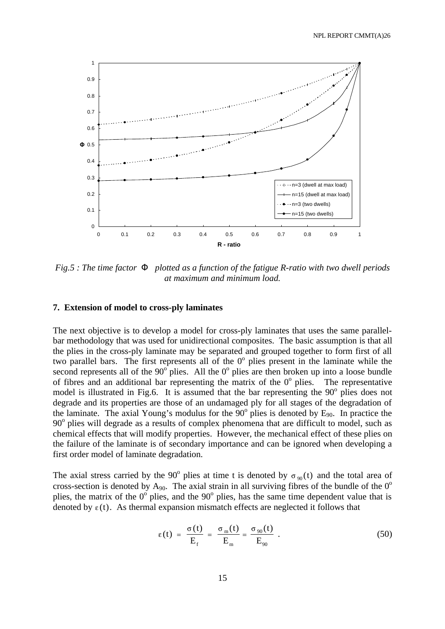

*Fig.5 : The time factor F plotted as a function of the fatigue R-ratio with two dwell periods at maximum and minimum load.*

#### **7. Extension of model to cross-ply laminates**

The next objective is to develop a model for cross-ply laminates that uses the same parallelbar methodology that was used for unidirectional composites. The basic assumption is that all the plies in the cross-ply laminate may be separated and grouped together to form first of all two parallel bars. The first represents all of the  $0^{\circ}$  plies present in the laminate while the second represents all of the  $90^{\circ}$  plies. All the  $0^{\circ}$  plies are then broken up into a loose bundle of fibres and an additional bar representing the matrix of the  $0^{\circ}$  plies. The representative model is illustrated in Fig.6. It is assumed that the bar representing the 90° plies does not degrade and its properties are those of an undamaged ply for all stages of the degradation of the laminate. The axial Young's modulus for the  $90^{\circ}$  plies is denoted by E<sub>90</sub>. In practice the 90° plies will degrade as a results of complex phenomena that are difficult to model, such as chemical effects that will modify properties. However, the mechanical effect of these plies on the failure of the laminate is of secondary importance and can be ignored when developing a first order model of laminate degradation.

The axial stress carried by the 90<sup>°</sup> plies at time t is denoted by  $\sigma_{90}(t)$  and the total area of cross-section is denoted by  $A_{90}$ . The axial strain in all surviving fibres of the bundle of the  $0^{\circ}$ plies, the matrix of the  $0^{\circ}$  plies, and the  $90^{\circ}$  plies, has the same time dependent value that is denoted by  $\varepsilon(t)$ . As thermal expansion mismatch effects are neglected it follows that

$$
\varepsilon(t) = \frac{\sigma(t)}{E_f} = \frac{\sigma_m(t)}{E_m} = \frac{\sigma_{90}(t)}{E_{90}}.
$$
 (50)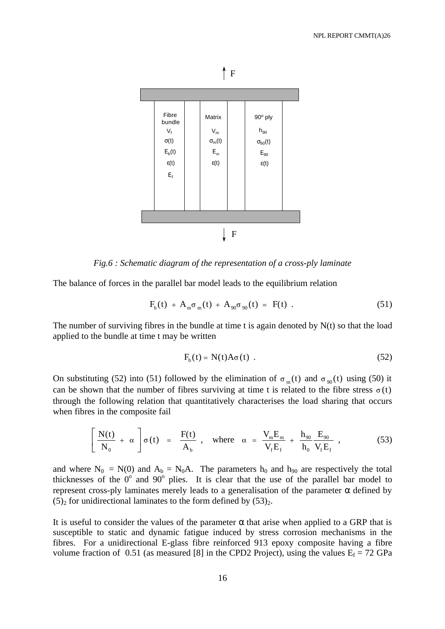



*Fig.6 : Schematic diagram of the representation of a cross-ply laminate*

The balance of forces in the parallel bar model leads to the equilibrium relation

$$
F_{b}(t) + A_{m} \sigma_{m}(t) + A_{90} \sigma_{90}(t) = F(t) . \qquad (51)
$$

The number of surviving fibres in the bundle at time t is again denoted by  $N(t)$  so that the load applied to the bundle at time t may be written

$$
F_b(t) = N(t)A\sigma(t) . \qquad (52)
$$

On substituting (52) into (51) followed by the elimination of  $\sigma_m(t)$  and  $\sigma_{90}(t)$  using (50) it can be shown that the number of fibres surviving at time t is related to the fibre stress  $\sigma(t)$ through the following relation that quantitatively characterises the load sharing that occurs when fibres in the composite fail

$$
\left[\frac{N(t)}{N_0} + \alpha\right] \sigma(t) = \frac{F(t)}{A_b}, \text{ where } \alpha = \frac{V_m E_m}{V_f E_f} + \frac{h_{90}}{h_0} \frac{E_{90}}{V_f E_f}, \qquad (53)
$$

and where  $N_0 = N(0)$  and  $A_b = N_0A$ . The parameters  $h_0$  and  $h_{90}$  are respectively the total thicknesses of the  $0^{\circ}$  and  $90^{\circ}$  plies. It is clear that the use of the parallel bar model to represent cross-ply laminates merely leads to a generalisation of the parameter α defined by  $(5)_2$  for unidirectional laminates to the form defined by  $(53)_2$ .

It is useful to consider the values of the parameter  $\alpha$  that arise when applied to a GRP that is susceptible to static and dynamic fatigue induced by stress corrosion mechanisms in the fibres. For a unidirectional E-glass fibre reinforced 913 epoxy composite having a fibre volume fraction of 0.51 (as measured [8] in the CPD2 Project), using the values  $E_f = 72$  GPa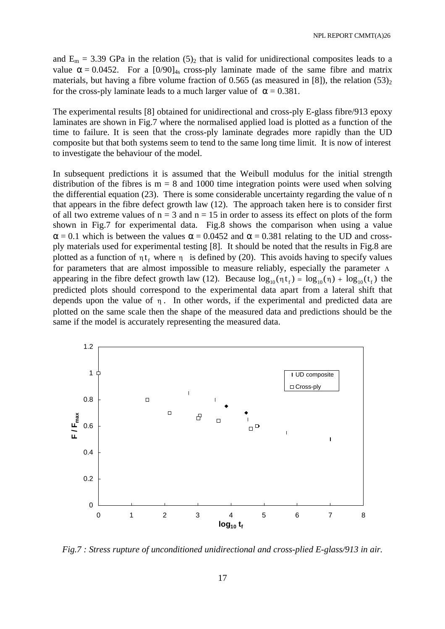and  $E_m = 3.39$  GPa in the relation  $(5)_2$  that is valid for unidirectional composites leads to a value  $\alpha = 0.0452$ . For a  $[0/90]_{4s}$  cross-ply laminate made of the same fibre and matrix materials, but having a fibre volume fraction of 0.565 (as measured in [8]), the relation  $(53)_2$ for the cross-ply laminate leads to a much larger value of  $\alpha = 0.381$ .

The experimental results [8] obtained for unidirectional and cross-ply E-glass fibre/913 epoxy laminates are shown in Fig.7 where the normalised applied load is plotted as a function of the time to failure. It is seen that the cross-ply laminate degrades more rapidly than the UD composite but that both systems seem to tend to the same long time limit. It is now of interest to investigate the behaviour of the model.

In subsequent predictions it is assumed that the Weibull modulus for the initial strength distribution of the fibres is  $m = 8$  and 1000 time integration points were used when solving the differential equation (23). There is some considerable uncertainty regarding the value of n that appears in the fibre defect growth law (12). The approach taken here is to consider first of all two extreme values of  $n = 3$  and  $n = 15$  in order to assess its effect on plots of the form shown in Fig.7 for experimental data. Fig.8 shows the comparison when using a value  $\alpha$  = 0.1 which is between the values  $\alpha$  = 0.0452 and  $\alpha$  = 0.381 relating to the UD and crossply materials used for experimental testing [8]. It should be noted that the results in Fig.8 are plotted as a function of  $\eta t_f$  where  $\eta$  is defined by (20). This avoids having to specify values for parameters that are almost impossible to measure reliably, especially the parameter  $\Lambda$ appearing in the fibre defect growth law (12). Because  $log_{10}(\eta t_f) = log_{10}(\eta) + log_{10}(t_f)$  the predicted plots should correspond to the experimental data apart from a lateral shift that depends upon the value of  $\eta$ . In other words, if the experimental and predicted data are plotted on the same scale then the shape of the measured data and predictions should be the same if the model is accurately representing the measured data.



*Fig.7 : Stress rupture of unconditioned unidirectional and cross-plied E-glass/913 in air.*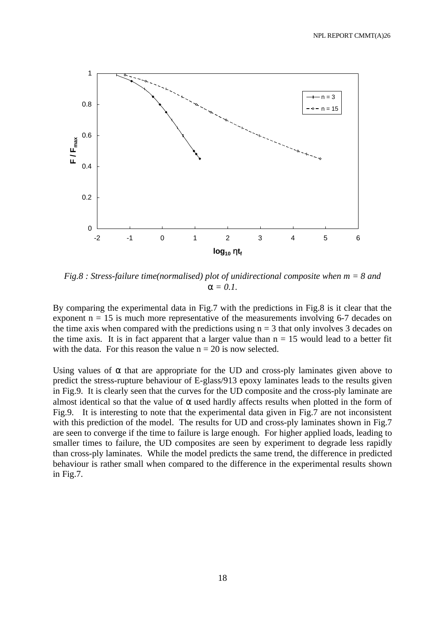

*Fig.8 : Stress-failure time(normalised) plot of unidirectional composite when m = 8 and*   $a = 0.1$ .

By comparing the experimental data in Fig.7 with the predictions in Fig.8 is it clear that the exponent  $n = 15$  is much more representative of the measurements involving 6-7 decades on the time axis when compared with the predictions using  $n = 3$  that only involves 3 decades on the time axis. It is in fact apparent that a larger value than  $n = 15$  would lead to a better fit with the data. For this reason the value  $n = 20$  is now selected.

Using values of  $\alpha$  that are appropriate for the UD and cross-ply laminates given above to predict the stress-rupture behaviour of E-glass/913 epoxy laminates leads to the results given in Fig.9. It is clearly seen that the curves for the UD composite and the cross-ply laminate are almost identical so that the value of  $\alpha$  used hardly affects results when plotted in the form of Fig.9. It is interesting to note that the experimental data given in Fig.7 are not inconsistent with this prediction of the model. The results for UD and cross-ply laminates shown in Fig.7 are seen to converge if the time to failure is large enough. For higher applied loads, leading to smaller times to failure, the UD composites are seen by experiment to degrade less rapidly than cross-ply laminates. While the model predicts the same trend, the difference in predicted behaviour is rather small when compared to the difference in the experimental results shown in Fig.7.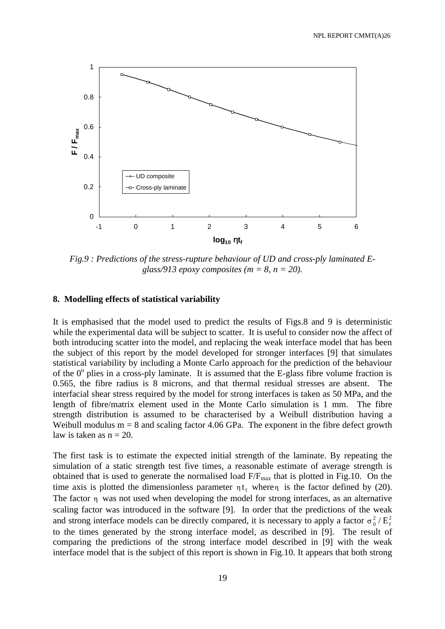

*Fig.9 : Predictions of the stress-rupture behaviour of UD and cross-ply laminated Eglass/913 epoxy composites (m = 8, n = 20).*

## **8. Modelling effects of statistical variability**

It is emphasised that the model used to predict the results of Figs.8 and 9 is deterministic while the experimental data will be subject to scatter. It is useful to consider now the affect of both introducing scatter into the model, and replacing the weak interface model that has been the subject of this report by the model developed for stronger interfaces [9] that simulates statistical variability by including a Monte Carlo approach for the prediction of the behaviour of the  $0^{\circ}$  plies in a cross-ply laminate. It is assumed that the E-glass fibre volume fraction is 0.565, the fibre radius is 8 microns, and that thermal residual stresses are absent. The interfacial shear stress required by the model for strong interfaces is taken as 50 MPa, and the length of fibre/matrix element used in the Monte Carlo simulation is 1 mm. The fibre strength distribution is assumed to be characterised by a Weibull distribution having a Weibull modulus  $m = 8$  and scaling factor 4.06 GPa. The exponent in the fibre defect growth law is taken as  $n = 20$ .

The first task is to estimate the expected initial strength of the laminate. By repeating the simulation of a static strength test five times, a reasonable estimate of average strength is obtained that is used to generate the normalised load  $F/F_{max}$  that is plotted in Fig.10. On the time axis is plotted the dimensionless parameter  $\eta t_f$  where  $\eta$  is the factor defined by (20). The factor  $\eta$  was not used when developing the model for strong interfaces, as an alternative scaling factor was introduced in the software [9]. In order that the predictions of the weak and strong interface models can be directly compared, it is necessary to apply a factor  $\sigma_0^2/E_f^2$ to the times generated by the strong interface model, as described in [9]. The result of comparing the predictions of the strong interface model described in [9] with the weak interface model that is the subject of this report is shown in Fig.10. It appears that both strong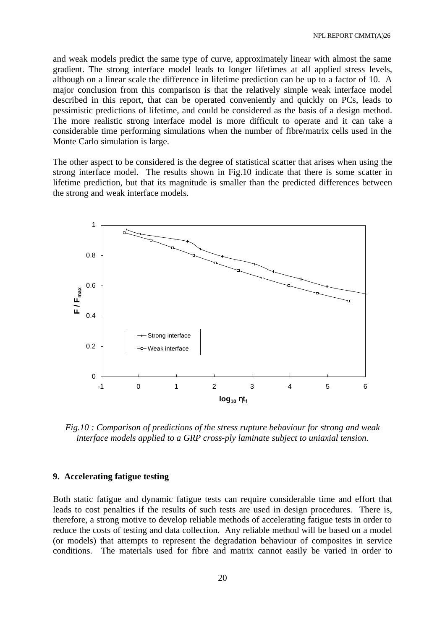and weak models predict the same type of curve, approximately linear with almost the same gradient. The strong interface model leads to longer lifetimes at all applied stress levels, although on a linear scale the difference in lifetime prediction can be up to a factor of 10. A major conclusion from this comparison is that the relatively simple weak interface model described in this report, that can be operated conveniently and quickly on PCs, leads to pessimistic predictions of lifetime, and could be considered as the basis of a design method. The more realistic strong interface model is more difficult to operate and it can take a considerable time performing simulations when the number of fibre/matrix cells used in the Monte Carlo simulation is large.

The other aspect to be considered is the degree of statistical scatter that arises when using the strong interface model. The results shown in Fig.10 indicate that there is some scatter in lifetime prediction, but that its magnitude is smaller than the predicted differences between the strong and weak interface models.



*Fig.10 : Comparison of predictions of the stress rupture behaviour for strong and weak interface models applied to a GRP cross-ply laminate subject to uniaxial tension.*

### **9. Accelerating fatigue testing**

Both static fatigue and dynamic fatigue tests can require considerable time and effort that leads to cost penalties if the results of such tests are used in design procedures. There is, therefore, a strong motive to develop reliable methods of accelerating fatigue tests in order to reduce the costs of testing and data collection. Any reliable method will be based on a model (or models) that attempts to represent the degradation behaviour of composites in service conditions. The materials used for fibre and matrix cannot easily be varied in order to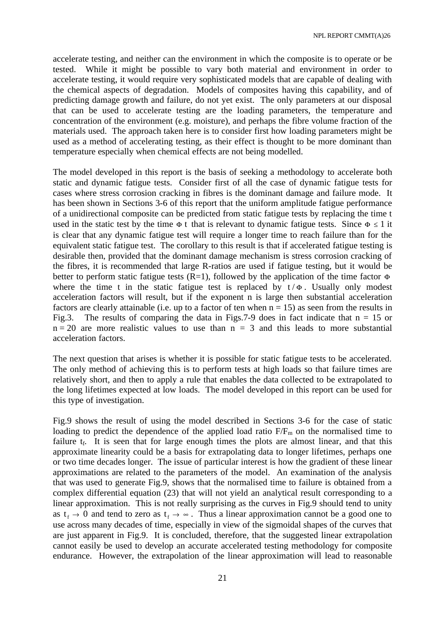accelerate testing, and neither can the environment in which the composite is to operate or be tested. While it might be possible to vary both material and environment in order to accelerate testing, it would require very sophisticated models that are capable of dealing with the chemical aspects of degradation. Models of composites having this capability, and of predicting damage growth and failure, do not yet exist. The only parameters at our disposal that can be used to accelerate testing are the loading parameters, the temperature and concentration of the environment (e.g. moisture), and perhaps the fibre volume fraction of the materials used. The approach taken here is to consider first how loading parameters might be used as a method of accelerating testing, as their effect is thought to be more dominant than temperature especially when chemical effects are not being modelled.

The model developed in this report is the basis of seeking a methodology to accelerate both static and dynamic fatigue tests. Consider first of all the case of dynamic fatigue tests for cases where stress corrosion cracking in fibres is the dominant damage and failure mode. It has been shown in Sections 3-6 of this report that the uniform amplitude fatigue performance of a unidirectional composite can be predicted from static fatigue tests by replacing the time t used in the static test by the time  $\Phi$  t that is relevant to dynamic fatigue tests. Since  $\Phi \le 1$  it is clear that any dynamic fatigue test will require a longer time to reach failure than for the equivalent static fatigue test. The corollary to this result is that if accelerated fatigue testing is desirable then, provided that the dominant damage mechanism is stress corrosion cracking of the fibres, it is recommended that large R-ratios are used if fatigue testing, but it would be better to perform static fatigue tests  $(R=1)$ , followed by the application of the time factor  $\Phi$ where the time t in the static fatigue test is replaced by  $t/\Phi$ . Usually only modest acceleration factors will result, but if the exponent n is large then substantial acceleration factors are clearly attainable (i.e. up to a factor of ten when  $n = 15$ ) as seen from the results in Fig.3. The results of comparing the data in Figs.7-9 does in fact indicate that  $n = 15$  or  $n = 20$  are more realistic values to use than  $n = 3$  and this leads to more substantial acceleration factors.

The next question that arises is whether it is possible for static fatigue tests to be accelerated. The only method of achieving this is to perform tests at high loads so that failure times are relatively short, and then to apply a rule that enables the data collected to be extrapolated to the long lifetimes expected at low loads. The model developed in this report can be used for this type of investigation.

Fig.9 shows the result of using the model described in Sections 3-6 for the case of static loading to predict the dependence of the applied load ratio  $F/F_m$  on the normalised time to failure  $t_f$ . It is seen that for large enough times the plots are almost linear, and that this approximate linearity could be a basis for extrapolating data to longer lifetimes, perhaps one or two time decades longer. The issue of particular interest is how the gradient of these linear approximations are related to the parameters of the model. An examination of the analysis that was used to generate Fig.9, shows that the normalised time to failure is obtained from a complex differential equation (23) that will not yield an analytical result corresponding to a linear approximation. This is not really surprising as the curves in Fig.9 should tend to unity as  $t_f \to 0$  and tend to zero as  $t_f \to \infty$ . Thus a linear approximation cannot be a good one to use across many decades of time, especially in view of the sigmoidal shapes of the curves that are just apparent in Fig.9. It is concluded, therefore, that the suggested linear extrapolation cannot easily be used to develop an accurate accelerated testing methodology for composite endurance. However, the extrapolation of the linear approximation will lead to reasonable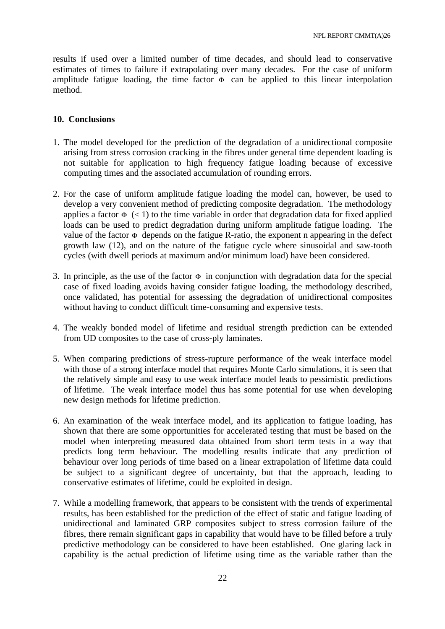results if used over a limited number of time decades, and should lead to conservative estimates of times to failure if extrapolating over many decades. For the case of uniform amplitude fatigue loading, the time factor  $\Phi$  can be applied to this linear interpolation method.

# **10. Conclusions**

- 1. The model developed for the prediction of the degradation of a unidirectional composite arising from stress corrosion cracking in the fibres under general time dependent loading is not suitable for application to high frequency fatigue loading because of excessive computing times and the associated accumulation of rounding errors.
- 2. For the case of uniform amplitude fatigue loading the model can, however, be used to develop a very convenient method of predicting composite degradation. The methodology applies a factor  $\Phi$  ( $\leq$  1) to the time variable in order that degradation data for fixed applied loads can be used to predict degradation during uniform amplitude fatigue loading. The value of the factor  $\Phi$  depends on the fatigue R-ratio, the exponent n appearing in the defect growth law (12), and on the nature of the fatigue cycle where sinusoidal and saw-tooth cycles (with dwell periods at maximum and/or minimum load) have been considered.
- 3. In principle, as the use of the factor  $\Phi$  in conjunction with degradation data for the special case of fixed loading avoids having consider fatigue loading, the methodology described, once validated, has potential for assessing the degradation of unidirectional composites without having to conduct difficult time-consuming and expensive tests.
- 4. The weakly bonded model of lifetime and residual strength prediction can be extended from UD composites to the case of cross-ply laminates.
- 5. When comparing predictions of stress-rupture performance of the weak interface model with those of a strong interface model that requires Monte Carlo simulations, it is seen that the relatively simple and easy to use weak interface model leads to pessimistic predictions of lifetime. The weak interface model thus has some potential for use when developing new design methods for lifetime prediction.
- 6. An examination of the weak interface model, and its application to fatigue loading, has shown that there are some opportunities for accelerated testing that must be based on the model when interpreting measured data obtained from short term tests in a way that predicts long term behaviour. The modelling results indicate that any prediction of behaviour over long periods of time based on a linear extrapolation of lifetime data could be subject to a significant degree of uncertainty, but that the approach, leading to conservative estimates of lifetime, could be exploited in design.
- 7. While a modelling framework, that appears to be consistent with the trends of experimental results, has been established for the prediction of the effect of static and fatigue loading of unidirectional and laminated GRP composites subject to stress corrosion failure of the fibres, there remain significant gaps in capability that would have to be filled before a truly predictive methodology can be considered to have been established. One glaring lack in capability is the actual prediction of lifetime using time as the variable rather than the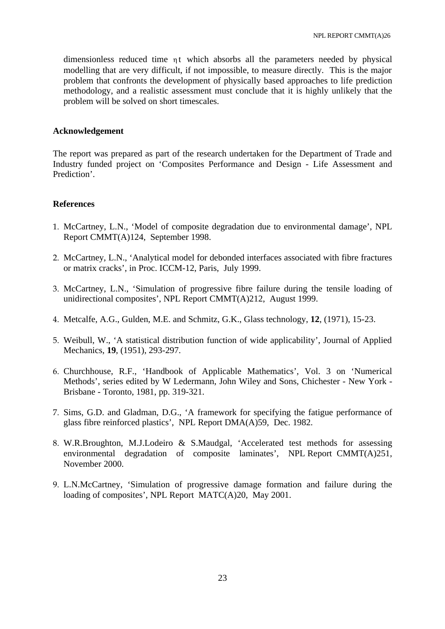dimensionless reduced time  $\eta t$  which absorbs all the parameters needed by physical modelling that are very difficult, if not impossible, to measure directly. This is the major problem that confronts the development of physically based approaches to life prediction methodology, and a realistic assessment must conclude that it is highly unlikely that the problem will be solved on short timescales.

### **Acknowledgement**

The report was prepared as part of the research undertaken for the Department of Trade and Industry funded project on 'Composites Performance and Design - Life Assessment and Prediction'.

### **References**

- 1. McCartney, L.N., 'Model of composite degradation due to environmental damage', NPL Report CMMT(A)124, September 1998.
- 2. McCartney, L.N., 'Analytical model for debonded interfaces associated with fibre fractures or matrix cracks', in Proc. ICCM-12, Paris, July 1999.
- 3. McCartney, L.N., 'Simulation of progressive fibre failure during the tensile loading of unidirectional composites', NPL Report CMMT(A)212, August 1999.
- 4. Metcalfe, A.G., Gulden, M.E. and Schmitz, G.K., Glass technology, **12**, (1971), 15-23.
- 5. Weibull, W., 'A statistical distribution function of wide applicability', Journal of Applied Mechanics, **19**, (1951), 293-297.
- 6. Churchhouse, R.F., 'Handbook of Applicable Mathematics', Vol. 3 on 'Numerical Methods', series edited by W Ledermann, John Wiley and Sons, Chichester - New York - Brisbane - Toronto, 1981, pp. 319-321.
- 7. Sims, G.D. and Gladman, D.G., 'A framework for specifying the fatigue performance of glass fibre reinforced plastics', NPL Report DMA(A)59, Dec. 1982.
- 8. W.R.Broughton, M.J.Lodeiro & S.Maudgal, 'Accelerated test methods for assessing environmental degradation of composite laminates', NPL Report CMMT(A)251, November 2000.
- 9. L.N.McCartney, 'Simulation of progressive damage formation and failure during the loading of composites', NPL Report MATC(A)20, May 2001.